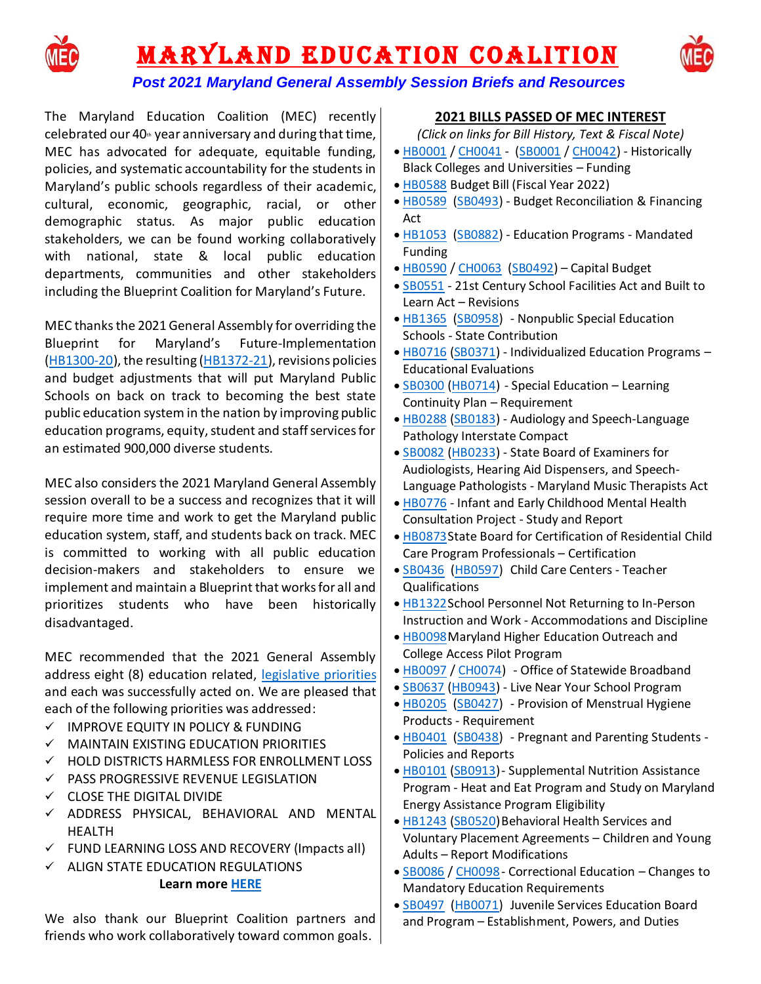

# **MARYLAND EDUCATION COALITION**



# *Post 2021 Maryland General Assembly Session Briefs and [Resources](https://www.marylandeducationcoalition.org/)*

The Maryland Education Coalition (MEC) recently celebrated our  $40<sub>th</sub>$  year anniversary and during that time, MEC has advocated for adequate, equitable funding, policies, and systematic accountability for the students in Maryland's public schools regardless of their academic, cultural, economic, geographic, racial, or other demographic status. As major public education stakeholders, we can be found working collaboratively with national, state & local public education departments, communities and other stakeholders including the Blueprint Coalition for Maryland's Future.

MEC thanksthe 2021 General Assembly for overriding the Blueprint for Maryland's Future-Implementation [\(HB1300-20\)](http://mgaleg.maryland.gov/mgawebsite/Legislation/Details/HB1300/?ys=2020rs), the resulting [\(HB1372-21\)](http://mgaleg.maryland.gov/mgawebsite/Legislation/Details/HB1372), revisions policies and budget adjustments that will put Maryland Public Schools on back on track to becoming the best state public education system in the nation by improving public education programs, equity, student and staff services for an estimated 900,000 diverse students.

MEC also considers the 2021 Maryland General Assembly session overall to be a success and recognizes that it will require more time and work to get the Maryland public education system, staff, and students back on track. MEC is committed to working with all public education decision-makers and stakeholders to ensure we implement and maintain a Blueprint that works for all and prioritizes students who have been historically disadvantaged.

MEC recommended that the 2021 General Assembly address eight (8) education related, [legislative priorities](https://www.marylandeducationcoalition.org/copy-of-2020-legislative-session) and each was successfully acted on. We are pleased that each of the following priorities was addressed:

- ✓ IMPROVE EQUITY IN POLICY & FUNDING
- ✓ MAINTAIN EXISTING EDUCATION PRIORITIES
- ✓ HOLD DISTRICTS HARMLESS FOR ENROLLMENT LOSS
- ✓ PASS PROGRESSIVE REVENUE LEGISLATION
- ✓ CLOSE THE DIGITAL DIVIDE
- ✓ ADDRESS PHYSICAL, BEHAVIORAL AND MENTAL HEALTH
- $\checkmark$  FUND LEARNING LOSS AND RECOVERY (Impacts all)
- ✓ ALIGN STATE EDUCATION REGULATIONS

## **Learn mor[e HERE](https://www.marylandeducationcoalition.org/copy-of-2020-legislative-session)**

We also thank our Blueprint Coalition partners and friends who work collaboratively toward common goals.

## **2021 BILLS PASSED OF MEC INTEREST**

*(Click on links for Bill History, Text & Fiscal Note)*

- [HB0001](http://mgaleg.maryland.gov/mgawebsite/Legislation/Details/hb0001?ys=2021RS) / [CH0041](http://mgaleg.maryland.gov/mgawebsite/Legislation/Details/ch0041?ys=2021RS) [\(SB0001](http://mgaleg.maryland.gov/mgawebsite/Legislation/Details/sb0001?ys=2021RS) / [CH0042\)](http://mgaleg.maryland.gov/mgawebsite/Legislation/Details/ch0042?ys=2021RS) Historically Black Colleges and Universities – Funding
- [HB0588](http://mgaleg.maryland.gov/mgawebsite/Legislation/Details/hb0588?ys=2021RS) Budget Bill (Fiscal Year 2022)
- [HB0589](http://mgaleg.maryland.gov/mgawebsite/Legislation/Details/hb0589?ys=2021RS) [\(SB0493\)](http://mgaleg.maryland.gov/mgawebsite/Legislation/Details/sb0493?ys=2021RS) Budget Reconciliation & Financing Act
- [HB1053](http://mgaleg.maryland.gov/mgawebsite/Legislation/Details/hb1053?ys=2021RS) [\(SB0882\)](http://mgaleg.maryland.gov/mgawebsite/Legislation/Details/sb0882?ys=2021RS) Education Programs Mandated Funding
- [HB0590](http://mgaleg.maryland.gov/mgawebsite/Legislation/Details/hb0590?ys=2021RS) / [CH0063](http://mgaleg.maryland.gov/mgawebsite/Legislation/Details/ch0063?ys=2021RS) [\(SB0492\)](http://mgaleg.maryland.gov/mgawebsite/Legislation/Details/sb0492?ys=2021RS) Capital Budget
- [SB0551](http://mgaleg.maryland.gov/mgawebsite/Legislation/Details/sb0551?ys=2021RS) 21st Century School Facilities Act and Built to Learn Act – Revisions
- [HB1365](http://mgaleg.maryland.gov/mgawebsite/Legislation/Details/hb1365?ys=2021RS) [\(SB0958\)](http://mgaleg.maryland.gov/mgawebsite/Legislation/Details/sb0958?ys=2021RS) Nonpublic Special Education Schools - State Contribution
- [HB0716](http://mgaleg.maryland.gov/mgawebsite/Legislation/Details/hb0716?ys=2021RS) [\(SB0371\)](http://mgaleg.maryland.gov/mgawebsite/Legislation/Details/sb0371?ys=2021RS) Individualized Education Programs Educational Evaluations
- [SB0300](http://mgaleg.maryland.gov/mgawebsite/Legislation/Details/sb0300?ys=2021RS) [\(HB0714\)](http://mgaleg.maryland.gov/mgawebsite/Legislation/Details/hb0714?ys=2021RS) Special Education Learning Continuity Plan – Requirement
- [HB0288](http://mgaleg.maryland.gov/mgawebsite/Legislation/Details/hb0288?ys=2021RS) [\(SB0183\)](http://mgaleg.maryland.gov/mgawebsite/Legislation/Details/sb0183?ys=2021RS) Audiology and Speech-Language Pathology Interstate Compact
- [SB0082](http://mgaleg.maryland.gov/mgawebsite/Legislation/Details/sb0082?ys=2021RS) [\(HB0233\)](http://mgaleg.maryland.gov/mgawebsite/Legislation/Details/hb0233?ys=2021RS) State Board of Examiners for Audiologists, Hearing Aid Dispensers, and Speech-Language Pathologists - Maryland Music Therapists Act
- [HB0776](http://mgaleg.maryland.gov/mgawebsite/Legislation/Details/hb0776?ys=2021RS) Infant and Early Childhood Mental Health Consultation Project - Study and Report
- [HB0873S](http://mgaleg.maryland.gov/mgawebsite/Legislation/Details/hb0873?ys=2021RS)tate Board for Certification of Residential Child Care Program Professionals – Certification
- [SB0436](http://mgaleg.maryland.gov/mgawebsite/Legislation/Details/sb0436?ys=2021RS) [\(HB0597\)](http://mgaleg.maryland.gov/mgawebsite/Legislation/Details/hb0597?ys=2021RS) Child Care Centers Teacher Qualifications
- [HB1322S](http://mgaleg.maryland.gov/mgawebsite/Legislation/Details/hb1322?ys=2021RS)chool Personnel Not Returning to In-Person Instruction and Work - Accommodations and Discipline
- [HB0098M](http://mgaleg.maryland.gov/mgawebsite/Legislation/Details/hb0098?ys=2021RS)aryland Higher Education Outreach and College Access Pilot Program
- [HB0097](http://mgaleg.maryland.gov/mgawebsite/Legislation/Details/hb0097?ys=2021RS) / [CH0074\)](http://mgaleg.maryland.gov/mgawebsite/Legislation/Details/ch0074?ys=2021RS) Office of Statewide Broadband
- [SB0637](http://mgaleg.maryland.gov/mgawebsite/Legislation/Details/sb0637?ys=2021RS) [\(HB0943\)](http://mgaleg.maryland.gov/mgawebsite/Legislation/Details/hb0943?ys=2021RS) Live Near Your School Program
- [HB0205](http://mgaleg.maryland.gov/mgawebsite/Legislation/Details/hb0205?ys=2021RS) [\(SB0427\)](http://mgaleg.maryland.gov/mgawebsite/Legislation/Details/sb0427?ys=2021RS) Provision of Menstrual Hygiene Products - Requirement
- [HB0401](http://mgaleg.maryland.gov/mgawebsite/Legislation/Details/hb0401?ys=2021RS) [\(SB0438\)](http://mgaleg.maryland.gov/mgawebsite/Legislation/Details/sb0438?ys=2021RS) Pregnant and Parenting Students Policies and Reports
- [HB0101](http://mgaleg.maryland.gov/mgawebsite/Legislation/Details/hb0101?ys=2021RS) [\(SB0913\)](http://mgaleg.maryland.gov/mgawebsite/Legislation/Details/sb0913?ys=2021RS) Supplemental Nutrition Assistance Program - Heat and Eat Program and Study on Maryland Energy Assistance Program Eligibility
- [HB1243](http://mgaleg.maryland.gov/mgawebsite/Legislation/Details/hb1243?ys=2021RS) [\(SB0520\)](http://mgaleg.maryland.gov/mgawebsite/Legislation/Details/sb0520?ys=2021RS) Behavioral Health Services and Voluntary Placement Agreements – Children and Young Adults – Report Modifications
- [SB0086](http://mgaleg.maryland.gov/mgawebsite/Legislation/Details/sb0086?ys=2021RS) / [CH0098-](http://mgaleg.maryland.gov/mgawebsite/Legislation/Details/ch0098?ys=2021RS) Correctional Education Changes to Mandatory Education Requirements
- [SB0497](http://mgaleg.maryland.gov/mgawebsite/Legislation/Details/sb0497?ys=2021RS) [\(HB0071\)](http://mgaleg.maryland.gov/mgawebsite/Legislation/Details/hb0071?ys=2021RS) Juvenile Services Education Board and Program – Establishment, Powers, and Duties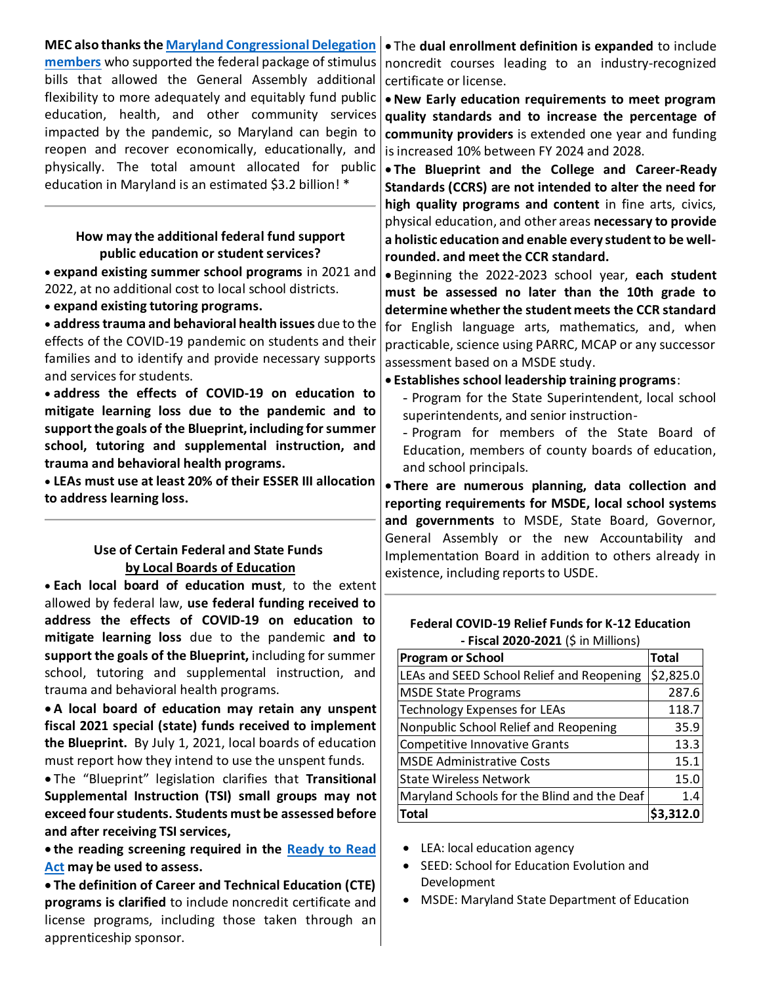| <b>MEC also thanks the Maryland Congressional Delegation</b> | . The dual enrollment definition is expanded to include   |
|--------------------------------------------------------------|-----------------------------------------------------------|
| members who supported the federal package of stimulus        | noncredit courses leading to an industry-recognized       |
| bills that allowed the General Assembly additional           | certificate or license.                                   |
| flexibility to more adequately and equitably fund public     | . New Early education requirements to meet program        |
| education, health, and other community services              | quality standards and to increase the percentage of       |
| impacted by the pandemic, so Maryland can begin to           | community providers is extended one year and funding      |
| reopen and recover economically, educationally, and          | is increased 10% between FY 2024 and 2028.                |
| physically. The total amount allocated for public            | . The Blueprint and the College and Career-Ready          |
| education in Maryland is an estimated \$3.2 billion! *       | Standards (CCRS) are not intended to alter the need for   |
|                                                              | high quality programs and content in fine arts, civics,   |
|                                                              | physical education, and other areas necessary to provide  |
| How may the additional federal fund support                  | a holistic education and enable every student to be well- |
| public education or student services?                        | rounded. and meet the CCR standard.                       |
| • expand existing summer school programs in 2021 and         | . Beginning the 2022-2023 school year, each student       |
| 2022, at no additional cost to local school districts.       | must be assessed no later than the 10th grade to          |
| • expand existing tutoring programs.                         | determine whether the student meets the CCR standard      |
| · address trauma and behavioral health issues due to the     | for English language arts, mathematics, and, when         |
| effects of the COVID-19 pandemic on students and their       | practicable, science using PARRC, MCAP or any successor   |
| families and to identify and provide necessary supports      | assessment based on a MSDE study.                         |
| and services for students.                                   | . Establishes school leadership training programs:        |
| · address the effects of COVID-19 on education to            | - Program for the State Superintendent, local school      |
| mitigate learning loss due to the pandemic and to            | superintendents, and senior instruction-                  |
| support the goals of the Blueprint, including for summer     | - Program for members of the State Board of               |
| school, tutoring and supplemental instruction, and           | Education, members of county boards of education,         |
| trauma and behavioral health programs.                       | and school principals.                                    |
| • LEAs must use at least 20% of their ESSER III allocation   | . There are numerous planning, data collection and        |
| to address learning loss.                                    | reporting requirements for MSDE, local school systems     |
|                                                              | and governments to MSDE, State Board, Governor,           |
|                                                              | General Assembly or the new Accountability and            |
| Use of Certain Federal and State Funds                       | Implementation Board in addition to others already in     |
| by Local Boards of Education                                 | existence, including reports to USDE.                     |
| . Each local board of education must, to the extent          |                                                           |
| allowed by federal law, use federal funding received to      |                                                           |

**address the effects of COVID-19 on education to mitigate learning loss** due to the pandemic **and to support the goals of the Blueprint,** including for summer school, tutoring and supplemental instruction, and trauma and behavioral health programs.

• **A local board of education may retain any unspent fiscal 2021 special (state) funds received to implement the Blueprint.** By July 1, 2021, local boards of education must report how they intend to use the unspent funds.

• The "Blueprint" legislation clarifies that **Transitional Supplemental Instruction (TSI) small groups may not exceed four students. Students must be assessed before and after receiving TSI services,** 

• **the reading screening required in the [Ready to Read](http://marylandpublicschools.org/programs/Documents/ELA/ReadingDifficulties/ExamplesOfBriefValidAndReliableScreeners.pdf)  [Act](http://marylandpublicschools.org/programs/Documents/ELA/ReadingDifficulties/ExamplesOfBriefValidAndReliableScreeners.pdf) may be used to assess.** 

• **The definition of Career and Technical Education (CTE) programs is clarified** to include noncredit certificate and license programs, including those taken through an apprenticeship sponsor.

**Federal COVID-19 Relief Funds for K-12 Education - Fiscal 2020-2021** (\$ in Millions)

| <b>Program or School</b>                    | <b>Total</b> |
|---------------------------------------------|--------------|
| LEAs and SEED School Relief and Reopening   | \$2,825.0    |
| <b>MSDE State Programs</b>                  | 287.6        |
| <b>Technology Expenses for LEAs</b>         | 118.7        |
| Nonpublic School Relief and Reopening       | 35.9         |
| <b>Competitive Innovative Grants</b>        | 13.3         |
| <b>MSDE Administrative Costs</b>            | 15.1         |
| <b>State Wireless Network</b>               | 15.0         |
| Maryland Schools for the Blind and the Deaf | 1.4          |
| <b>Total</b>                                |              |

- LEA: local education agency
- SEED: School for Education Evolution and Development
- MSDE: Maryland State Department of Education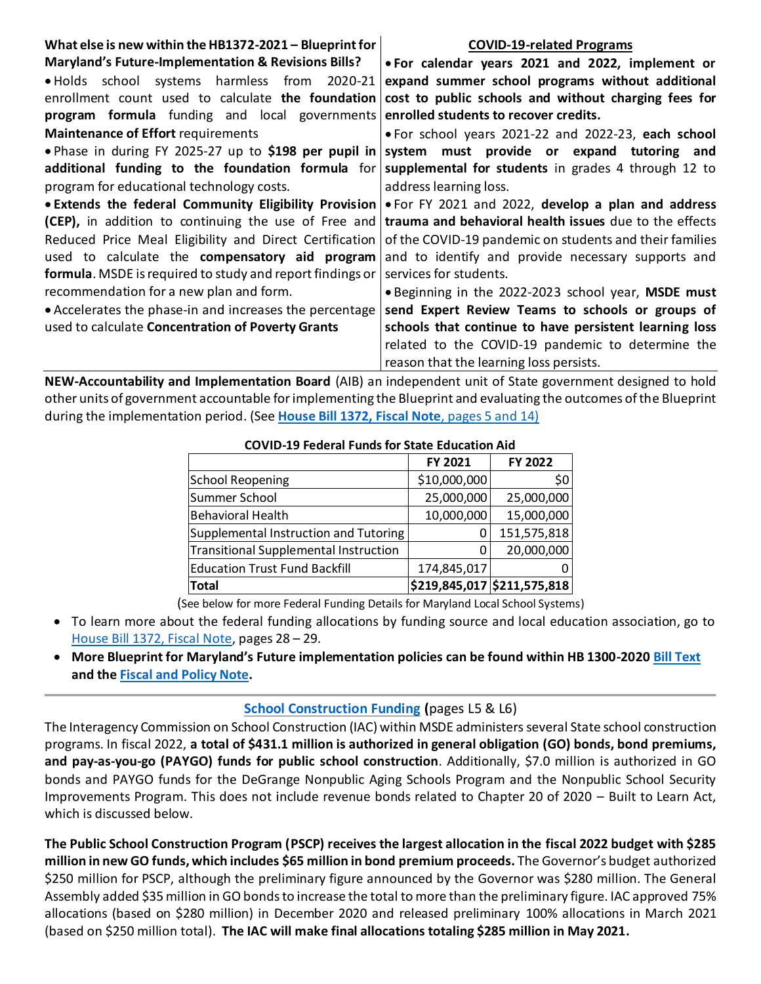| What else is new within the HB1372-2021 - Blueprint for                                              | <b>COVID-19-related Programs</b>                                                                            |  |  |  |  |  |
|------------------------------------------------------------------------------------------------------|-------------------------------------------------------------------------------------------------------------|--|--|--|--|--|
| Maryland's Future-Implementation & Revisions Bills?                                                  | • For calendar years 2021 and 2022, implement or                                                            |  |  |  |  |  |
| . Holds school systems harmless from 2020-21                                                         | expand summer school programs without additional                                                            |  |  |  |  |  |
| enrollment count used to calculate the foundation                                                    | cost to public schools and without charging fees for                                                        |  |  |  |  |  |
| program formula funding and local governments                                                        | enrolled students to recover credits.                                                                       |  |  |  |  |  |
| Maintenance of Effort requirements                                                                   | . For school years 2021-22 and 2022-23, each school                                                         |  |  |  |  |  |
| . Phase in during FY 2025-27 up to \$198 per pupil in system must provide or expand tutoring and     |                                                                                                             |  |  |  |  |  |
| additional funding to the foundation formula for supplemental for students in grades 4 through 12 to |                                                                                                             |  |  |  |  |  |
| program for educational technology costs.                                                            | address learning loss.                                                                                      |  |  |  |  |  |
|                                                                                                      | • Extends the federal Community Eligibility Provision   • For FY 2021 and 2022, develop a plan and address  |  |  |  |  |  |
|                                                                                                      | (CEP), in addition to continuing the use of Free and trauma and behavioral health issues due to the effects |  |  |  |  |  |
| Reduced Price Meal Eligibility and Direct Certification                                              | of the COVID-19 pandemic on students and their families                                                     |  |  |  |  |  |
| used to calculate the compensatory aid program                                                       | and to identify and provide necessary supports and                                                          |  |  |  |  |  |
| formula. MSDE is required to study and report findings or                                            | services for students.                                                                                      |  |  |  |  |  |
| recommendation for a new plan and form.                                                              | • Beginning in the 2022-2023 school year, MSDE must                                                         |  |  |  |  |  |
| • Accelerates the phase-in and increases the percentage                                              | send Expert Review Teams to schools or groups of                                                            |  |  |  |  |  |
| used to calculate Concentration of Poverty Grants                                                    | schools that continue to have persistent learning loss                                                      |  |  |  |  |  |
|                                                                                                      | related to the COVID-19 pandemic to determine the                                                           |  |  |  |  |  |
|                                                                                                      | reason that the learning loss persists.                                                                     |  |  |  |  |  |

**NEW-Accountability and Implementation Board** (AIB) an independent unit of State government designed to hold other units of government accountable for implementing the Blueprint and evaluating the outcomes of the Blueprint during the implementation period. (See **[House Bill 1372, Fiscal Note](http://mgaleg.maryland.gov/2021RS/fnotes/bil_0002/hb1372.pdf)**, pages 5 and 14)

| COVID-19 Federal Funds for State Equitation Aid |              |                             |  |  |  |  |  |
|-------------------------------------------------|--------------|-----------------------------|--|--|--|--|--|
|                                                 | FY 2021      | FY 2022                     |  |  |  |  |  |
| <b>School Reopening</b>                         | \$10,000,000 | \$0                         |  |  |  |  |  |
| Summer School                                   | 25,000,000   | 25,000,000                  |  |  |  |  |  |
| <b>Behavioral Health</b>                        | 10,000,000   | 15,000,000                  |  |  |  |  |  |
| Supplemental Instruction and Tutoring           |              | 151,575,818                 |  |  |  |  |  |
| Transitional Supplemental Instruction           |              | 20,000,000                  |  |  |  |  |  |
| <b>Education Trust Fund Backfill</b>            | 174,845,017  |                             |  |  |  |  |  |
| <b>Total</b>                                    |              | \$219,845,017 \$211,575,818 |  |  |  |  |  |

## **COVID-19 Federal Funds for State Education Aid**

(See below for more Federal Funding Details for Maryland Local School Systems)

- To learn more about the federal funding allocations by funding source and local education association, go to House [Bill 1372, Fiscal Note,](http://mgaleg.maryland.gov/2021RS/fnotes/bil_0002/hb1372.pdf) pages 28 – 29.
- **More Blueprint for Maryland's Future implementation policies can be found within HB 1300-202[0 Bill Text](http://mgaleg.maryland.gov/2020RS/Chapters_noln/Ch_36_hb1300e.pdf) and the [Fiscal and Policy Note.](http://mgaleg.maryland.gov/2020RS/fnotes/bil_0000/hb1300.pdf)**

#### **[School Construction Funding](http://dls.maryland.gov/pubs/prod/RecurRpt/2021rs-90-day-report.pdf) (**pages L5 & L6)

The Interagency Commission on School Construction (IAC) within MSDE administers several State school construction programs. In fiscal 2022, **a total of \$431.1 million is authorized in general obligation (GO) bonds, bond premiums, and pay-as-you-go (PAYGO) funds for public school construction**. Additionally, \$7.0 million is authorized in GO bonds and PAYGO funds for the DeGrange Nonpublic Aging Schools Program and the Nonpublic School Security Improvements Program. This does not include revenue bonds related to Chapter 20 of 2020 – Built to Learn Act, which is discussed below.

**The Public School Construction Program (PSCP) receives the largest allocation in the fiscal 2022 budget with \$285 million in new GO funds, which includes \$65 million in bond premium proceeds.** The Governor's budget authorized \$250 million for PSCP, although the preliminary figure announced by the Governor was \$280 million. The General Assembly added \$35 million in GO bonds to increase the total to more than the preliminary figure. IAC approved 75% allocations (based on \$280 million) in December 2020 and released preliminary 100% allocations in March 2021 (based on \$250 million total). **The IAC will make final allocations totaling \$285 million in May 2021.**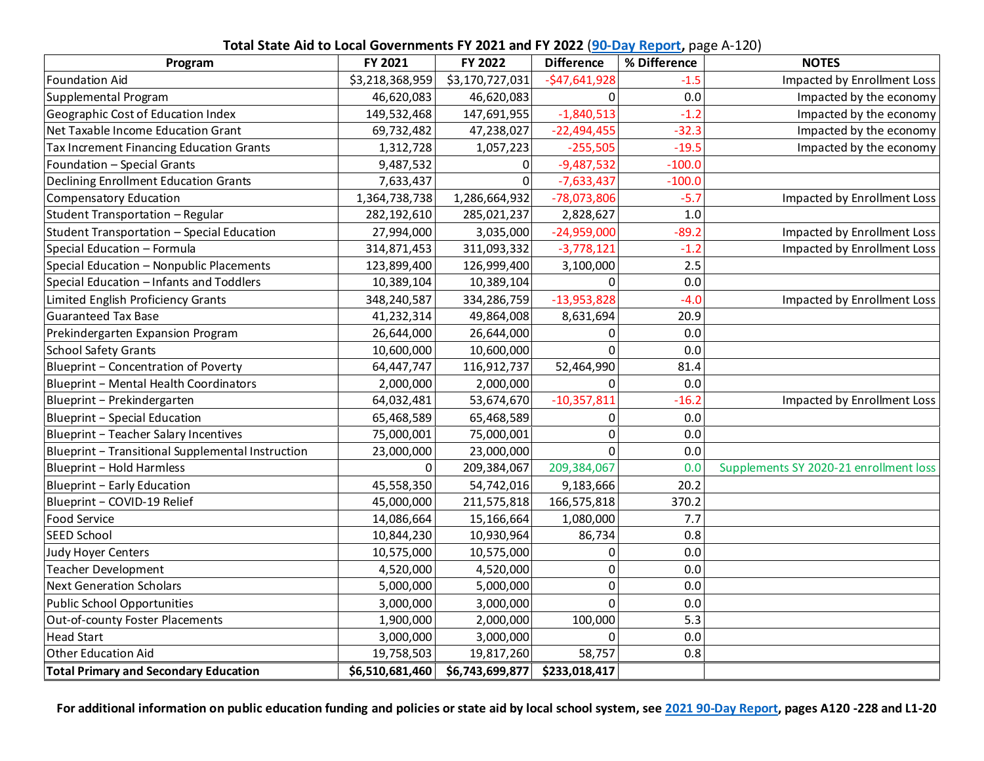|  |  |  | Total State Aid to Local Governments FY 2021 and FY 2022 (90-Day Report, page A-120) |
|--|--|--|--------------------------------------------------------------------------------------|
|--|--|--|--------------------------------------------------------------------------------------|

| Program                                           | FY 2021         | FY 2022         | <b>Difference</b> | % Difference | <b>NOTES</b>                           |
|---------------------------------------------------|-----------------|-----------------|-------------------|--------------|----------------------------------------|
| <b>Foundation Aid</b>                             | \$3,218,368,959 | \$3,170,727,031 | $-$47,641,928$    | $-1.5$       | Impacted by Enrollment Loss            |
| Supplemental Program                              | 46,620,083      | 46,620,083      | $\Omega$          | 0.0          | Impacted by the economy                |
| Geographic Cost of Education Index                | 149,532,468     | 147,691,955     | $-1,840,513$      | $-1.2$       | Impacted by the economy                |
| Net Taxable Income Education Grant                | 69,732,482      | 47,238,027      | $-22,494,455$     | $-32.3$      | Impacted by the economy                |
| Tax Increment Financing Education Grants          | 1,312,728       | 1,057,223       | $-255,505$        | $-19.5$      | Impacted by the economy                |
| Foundation - Special Grants                       | 9,487,532       | $\pmb{0}$       | $-9,487,532$      | $-100.0$     |                                        |
| <b>Declining Enrollment Education Grants</b>      | 7,633,437       | $\overline{0}$  | $-7,633,437$      | $-100.0$     |                                        |
| <b>Compensatory Education</b>                     | 1,364,738,738   | 1,286,664,932   | $-78,073,806$     | $-5.7$       | Impacted by Enrollment Loss            |
| Student Transportation - Regular                  | 282,192,610     | 285,021,237     | 2,828,627         | 1.0          |                                        |
| Student Transportation - Special Education        | 27,994,000      | 3,035,000       | $-24,959,000$     | $-89.2$      | Impacted by Enrollment Loss            |
| Special Education - Formula                       | 314,871,453     | 311,093,332     | $-3,778,121$      | $-1.2$       | Impacted by Enrollment Loss            |
| Special Education - Nonpublic Placements          | 123,899,400     | 126,999,400     | 3,100,000         | 2.5          |                                        |
| Special Education - Infants and Toddlers          | 10,389,104      | 10,389,104      | 0                 | 0.0          |                                        |
| Limited English Proficiency Grants                | 348,240,587     | 334,286,759     | $-13,953,828$     | $-4.0$       | Impacted by Enrollment Loss            |
| <b>Guaranteed Tax Base</b>                        | 41,232,314      | 49,864,008      | 8,631,694         | 20.9         |                                        |
| Prekindergarten Expansion Program                 | 26,644,000      | 26,644,000      | 0                 | 0.0          |                                        |
| <b>School Safety Grants</b>                       | 10,600,000      | 10,600,000      | 0                 | 0.0          |                                        |
| Blueprint - Concentration of Poverty              | 64,447,747      | 116,912,737     | 52,464,990        | 81.4         |                                        |
| Blueprint - Mental Health Coordinators            | 2,000,000       | 2,000,000       | $\Omega$          | 0.0          |                                        |
| Blueprint - Prekindergarten                       | 64,032,481      | 53,674,670      | $-10,357,811$     | $-16.2$      | Impacted by Enrollment Loss            |
| Blueprint - Special Education                     | 65,468,589      | 65,468,589      | 0                 | 0.0          |                                        |
| Blueprint - Teacher Salary Incentives             | 75,000,001      | 75,000,001      | 0                 | 0.0          |                                        |
| Blueprint - Transitional Supplemental Instruction | 23,000,000      | 23,000,000      | 0                 | 0.0          |                                        |
| Blueprint - Hold Harmless                         | $\Omega$        | 209,384,067     | 209,384,067       | 0.0          | Supplements SY 2020-21 enrollment loss |
| Blueprint - Early Education                       | 45,558,350      | 54,742,016      | 9,183,666         | 20.2         |                                        |
| Blueprint - COVID-19 Relief                       | 45,000,000      | 211,575,818     | 166,575,818       | 370.2        |                                        |
| Food Service                                      | 14,086,664      | 15,166,664      | 1,080,000         | 7.7          |                                        |
| SEED School                                       | 10,844,230      | 10,930,964      | 86,734            | 0.8          |                                        |
| Judy Hoyer Centers                                | 10,575,000      | 10,575,000      | 0                 | 0.0          |                                        |
| Teacher Development                               | 4,520,000       | 4,520,000       | 0                 | 0.0          |                                        |
| <b>Next Generation Scholars</b>                   | 5,000,000       | 5,000,000       | 0                 | 0.0          |                                        |
| <b>Public School Opportunities</b>                | 3,000,000       | 3,000,000       | $\mathbf 0$       | 0.0          |                                        |
| Out-of-county Foster Placements                   | 1,900,000       | 2,000,000       | 100,000           | 5.3          |                                        |
| <b>Head Start</b>                                 | 3,000,000       | 3,000,000       | $\mathbf 0$       | 0.0          |                                        |
| Other Education Aid                               | 19,758,503      | 19,817,260      | 58,757            | 0.8          |                                        |
| <b>Total Primary and Secondary Education</b>      | \$6,510,681,460 | \$6,743,699,877 | \$233,018,417     |              |                                        |

**For additional information on public education funding and policies or state aid by local school system, see [2021 90-Day Report,](http://dls.maryland.gov/pubs/prod/RecurRpt/2021rs-90-day-report.pdf) pages A120 -228 and L1-20**